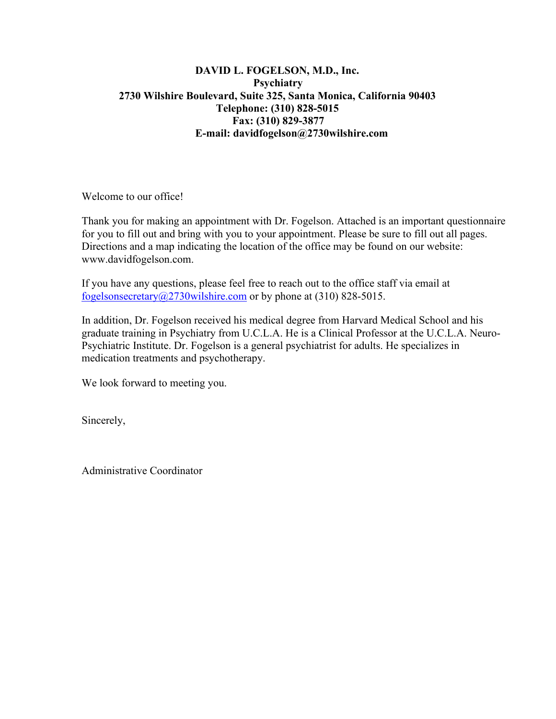#### **DAVID L. FOGELSON, M.D., Inc. Psychiatry 2730 Wilshire Boulevard, Suite 325, Santa Monica, California 90403 Telephone: (310) 828-5015 Fax: (310) 829-3877 E-mail: davidfogelson@2730wilshire.com**

Welcome to our office!

Thank you for making an appointment with Dr. Fogelson. Attached is an important questionnaire for you to fill out and bring with you to your appointment. Please be sure to fill out all pages. Directions and a map indicating the location of the office may be found on our website: www.davidfogelson.com.

If you have any questions, please feel free to reach out to the office staff via email at fogelsonsecretary $@2730$ wilshire.com or by phone at (310) 828-5015.

In addition, Dr. Fogelson received his medical degree from Harvard Medical School and his graduate training in Psychiatry from U.C.L.A. He is a Clinical Professor at the U.C.L.A. Neuro-Psychiatric Institute. Dr. Fogelson is a general psychiatrist for adults. He specializes in medication treatments and psychotherapy.

We look forward to meeting you.

Sincerely,

Administrative Coordinator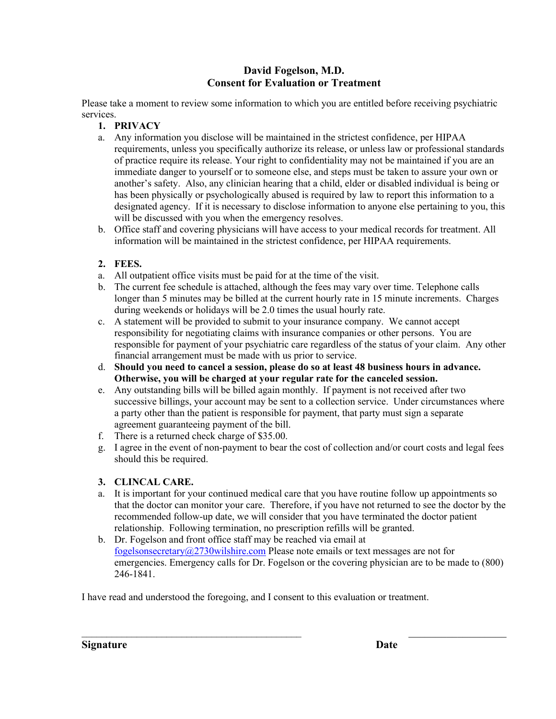#### **David Fogelson, M.D. Consent for Evaluation or Treatment**

Please take a moment to review some information to which you are entitled before receiving psychiatric services.

- **1. PRIVACY**
- a. Any information you disclose will be maintained in the strictest confidence, per HIPAA requirements, unless you specifically authorize its release, or unless law or professional standards of practice require its release. Your right to confidentiality may not be maintained if you are an immediate danger to yourself or to someone else, and steps must be taken to assure your own or another's safety. Also, any clinician hearing that a child, elder or disabled individual is being or has been physically or psychologically abused is required by law to report this information to a designated agency. If it is necessary to disclose information to anyone else pertaining to you, this will be discussed with you when the emergency resolves.
- b. Office staff and covering physicians will have access to your medical records for treatment. All information will be maintained in the strictest confidence, per HIPAA requirements.

#### **2. FEES.**

- a. All outpatient office visits must be paid for at the time of the visit.
- b. The current fee schedule is attached, although the fees may vary over time. Telephone calls longer than 5 minutes may be billed at the current hourly rate in 15 minute increments. Charges during weekends or holidays will be 2.0 times the usual hourly rate.
- c. A statement will be provided to submit to your insurance company. We cannot accept responsibility for negotiating claims with insurance companies or other persons. You are responsible for payment of your psychiatric care regardless of the status of your claim. Any other financial arrangement must be made with us prior to service.
- d. **Should you need to cancel a session, please do so at least 48 business hours in advance. Otherwise, you will be charged at your regular rate for the canceled session.**
- e. Any outstanding bills will be billed again monthly. If payment is not received after two successive billings, your account may be sent to a collection service. Under circumstances where a party other than the patient is responsible for payment, that party must sign a separate agreement guaranteeing payment of the bill.
- f. There is a returned check charge of \$35.00.
- g. I agree in the event of non-payment to bear the cost of collection and/or court costs and legal fees should this be required.

#### **3. CLINCAL CARE.**

- a. It is important for your continued medical care that you have routine follow up appointments so that the doctor can monitor your care. Therefore, if you have not returned to see the doctor by the recommended follow-up date, we will consider that you have terminated the doctor patient relationship. Following termination, no prescription refills will be granted.
- b. Dr. Fogelson and front office staff may be reached via email at [fogelsonsecretary@2730wilshire.com](mailto:fogelsonsecretary@2730wilshire.com) Please note emails or text messages are not for emergencies. Emergency calls for Dr. Fogelson or the covering physician are to be made to (800) 246-1841.

 $\overline{\phantom{a}}$  , and the contribution of the contribution of the contribution of the contribution of the contribution of the contribution of the contribution of the contribution of the contribution of the contribution of the

I have read and understood the foregoing, and I consent to this evaluation or treatment.

**Signature Date**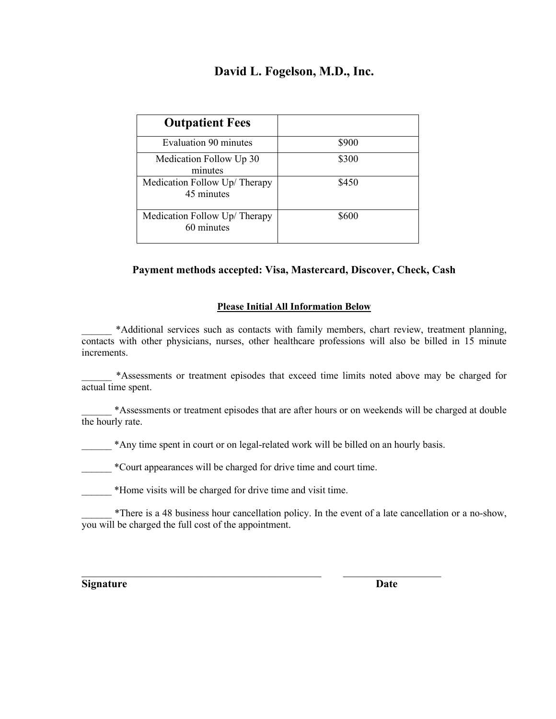# **David L. Fogelson, M.D., Inc.**

| <b>Outpatient Fees</b>                      |       |
|---------------------------------------------|-------|
| <b>Evaluation 90 minutes</b>                | \$900 |
| Medication Follow Up 30<br>minutes          | \$300 |
| Medication Follow Up/ Therapy<br>45 minutes | \$450 |
| Medication Follow Up/ Therapy<br>60 minutes | \$600 |

#### **Payment methods accepted: Visa, Mastercard, Discover, Check, Cash**

#### **Please Initial All Information Below**

\*Additional services such as contacts with family members, chart review, treatment planning, contacts with other physicians, nurses, other healthcare professions will also be billed in 15 minute increments.

\_\_\_\_\_\_ \*Assessments or treatment episodes that exceed time limits noted above may be charged for actual time spent.

\_\_\_\_\_\_ \*Assessments or treatment episodes that are after hours or on weekends will be charged at double the hourly rate.

\*Any time spent in court or on legal-related work will be billed on an hourly basis.

\_\_\_\_\_\_\_\_\_\_\_\_\_\_\_\_\_\_\_\_\_\_\_\_\_\_\_\_\_\_\_\_\_\_\_\_\_\_\_\_\_\_\_\_ \_\_\_\_\_\_\_\_\_\_\_\_\_\_\_\_\_\_

\_\_\_\_\_\_ \*Court appearances will be charged for drive time and court time.

\_\_\_\_\_\_ \*Home visits will be charged for drive time and visit time.

\_\_\_\_\_\_ \*There is a 48 business hour cancellation policy. In the event of a late cancellation or a no-show, you will be charged the full cost of the appointment.

**Signature Date**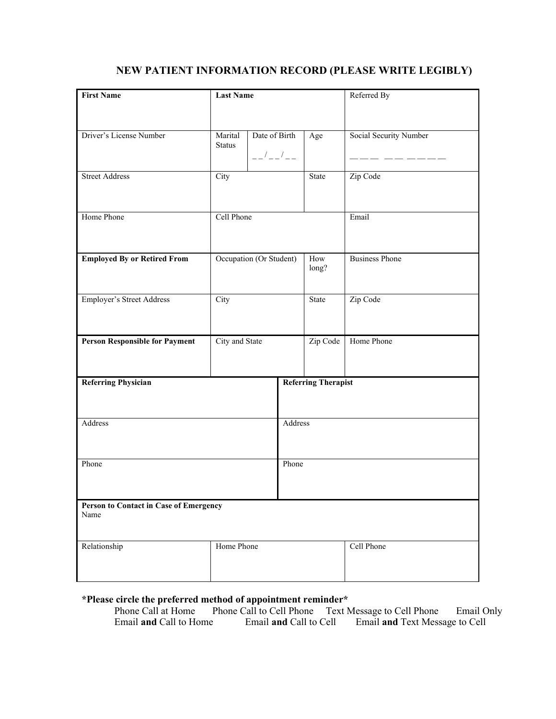## **NEW PATIENT INFORMATION RECORD (PLEASE WRITE LEGIBLY)**

| <b>First Name</b>                              | <b>Last Name</b>         |                                                                                                                             |         |                            | Referred By            |  |  |
|------------------------------------------------|--------------------------|-----------------------------------------------------------------------------------------------------------------------------|---------|----------------------------|------------------------|--|--|
|                                                |                          |                                                                                                                             |         |                            |                        |  |  |
| Driver's License Number                        | Marital<br><b>Status</b> | Date of Birth<br>$\begin{array}{c} - - \end{array} \begin{array}{c} I \\ - \end{array} \begin{array}{c} I \\ - \end{array}$ |         | Age                        | Social Security Number |  |  |
| <b>Street Address</b>                          | City                     |                                                                                                                             |         | State                      | Zip Code               |  |  |
| Home Phone                                     | Cell Phone               |                                                                                                                             |         |                            | Email                  |  |  |
| <b>Employed By or Retired From</b>             | Occupation (Or Student)  |                                                                                                                             |         | How<br>long?               | <b>Business Phone</b>  |  |  |
| <b>Employer's Street Address</b>               | City                     |                                                                                                                             |         | State                      | Zip Code               |  |  |
| <b>Person Responsible for Payment</b>          | City and State           |                                                                                                                             |         | Zip Code                   | Home Phone             |  |  |
| <b>Referring Physician</b>                     |                          |                                                                                                                             |         | <b>Referring Therapist</b> |                        |  |  |
| Address                                        |                          |                                                                                                                             | Address |                            |                        |  |  |
| Phone                                          |                          |                                                                                                                             |         | Phone                      |                        |  |  |
| Person to Contact in Case of Emergency<br>Name |                          |                                                                                                                             |         |                            |                        |  |  |
| Relationship                                   | Home Phone               |                                                                                                                             |         |                            | Cell Phone             |  |  |

# **\*Please circle the preferred method of appointment reminder\***

Phone Call at Home Phone Call to Cell Phone Text Message to Cell Phone Email Only<br>Email **and** Call to Cell Email **and** Text Message to Cell Email **and** Text Message to Cell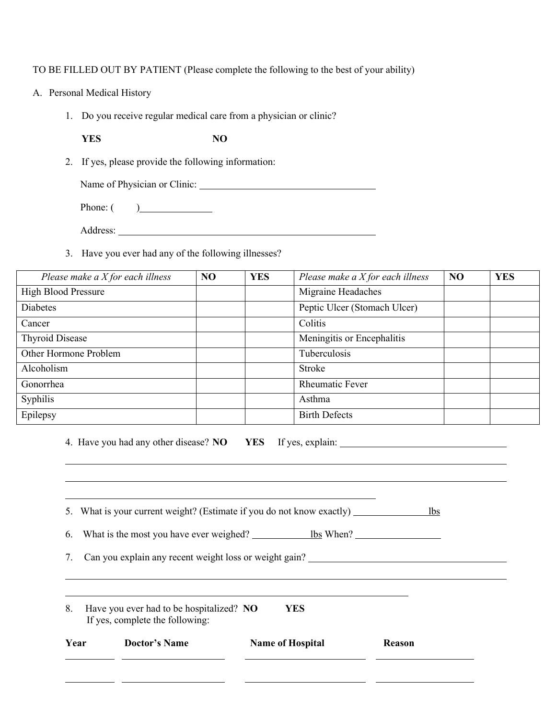#### TO BE FILLED OUT BY PATIENT (Please complete the following to the best of your ability)

- A. Personal Medical History
	- 1. Do you receive regular medical care from a physician or clinic?

**YES NO**

- 2. If yes, please provide the following information:
	- Name of Physician or Clinic:
	- Phone: ( )
	- Address:
- 3. Have you ever had any of the following illnesses?

| Please make a $X$ for each illness | N <sub>O</sub> | <b>YES</b> | Please make a $X$ for each illness | NO | <b>YES</b> |
|------------------------------------|----------------|------------|------------------------------------|----|------------|
| <b>High Blood Pressure</b>         |                |            | Migraine Headaches                 |    |            |
| <b>Diabetes</b>                    |                |            | Peptic Ulcer (Stomach Ulcer)       |    |            |
| Cancer                             |                |            | Colitis                            |    |            |
| <b>Thyroid Disease</b>             |                |            | Meningitis or Encephalitis         |    |            |
| Other Hormone Problem              |                |            | Tuberculosis                       |    |            |
| Alcoholism                         |                |            | <b>Stroke</b>                      |    |            |
| Gonorrhea                          |                |            | <b>Rheumatic Fever</b>             |    |            |
| Syphilis                           |                |            | Asthma                             |    |            |
| Epilepsy                           |                |            | <b>Birth Defects</b>               |    |            |

|      | 4. Have you had any other disease? NO YES If yes, explain: ______________________ |                         |               |            |
|------|-----------------------------------------------------------------------------------|-------------------------|---------------|------------|
|      |                                                                                   |                         |               |            |
|      | 5. What is your current weight? (Estimate if you do not know exactly)             |                         |               | <b>lbs</b> |
| 6.   | What is the most you have ever weighed? <u>Shake When and the When</u>            |                         |               |            |
| 7.   | Can you explain any recent weight loss or weight gain?                            |                         |               |            |
|      |                                                                                   |                         |               |            |
| 8.   | Have you ever had to be hospitalized? NO<br>If yes, complete the following:       | <b>YES</b>              |               |            |
| Year | <b>Doctor's Name</b>                                                              | <b>Name of Hospital</b> | <b>Reason</b> |            |
|      |                                                                                   |                         |               |            |
|      |                                                                                   |                         |               |            |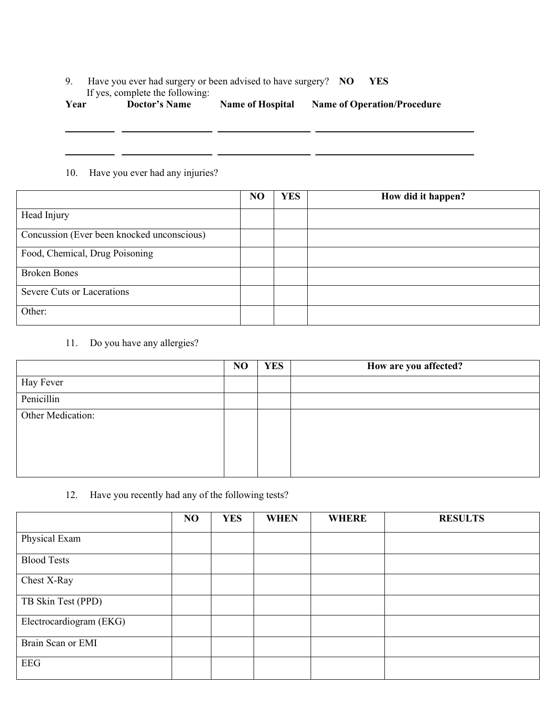#### 9. Have you ever had surgery or been advised to have surgery? **NO YES** If yes, complete the following:

| Year | <b>Doctor's Name</b> | <b>Name of Hospital</b> | <b>Name of Operation/Procedure</b> |
|------|----------------------|-------------------------|------------------------------------|
|------|----------------------|-------------------------|------------------------------------|

<u> 1989 - Johann John Stone, mars eta inperiodo eta inperiodo eta inperiodo eta inperiodo eta inperiodo eta inp</u>

#### 10. Have you ever had any injuries?

|                                            | N <sub>O</sub> | <b>YES</b> | How did it happen? |
|--------------------------------------------|----------------|------------|--------------------|
| Head Injury                                |                |            |                    |
| Concussion (Ever been knocked unconscious) |                |            |                    |
| Food, Chemical, Drug Poisoning             |                |            |                    |
| <b>Broken Bones</b>                        |                |            |                    |
| Severe Cuts or Lacerations                 |                |            |                    |
| Other:                                     |                |            |                    |

11. Do you have any allergies?

| N <sub>O</sub> | <b>YES</b> | How are you affected? |
|----------------|------------|-----------------------|
|                |            |                       |
|                |            |                       |
|                |            |                       |
|                |            |                       |
|                |            |                       |
|                |            |                       |
|                |            |                       |

#### 12. Have you recently had any of the following tests?

|                         | N <sub>O</sub> | <b>YES</b> | <b>WHEN</b> | <b>WHERE</b> | <b>RESULTS</b> |
|-------------------------|----------------|------------|-------------|--------------|----------------|
| Physical Exam           |                |            |             |              |                |
| <b>Blood Tests</b>      |                |            |             |              |                |
| Chest X-Ray             |                |            |             |              |                |
| TB Skin Test (PPD)      |                |            |             |              |                |
| Electrocardiogram (EKG) |                |            |             |              |                |
| Brain Scan or EMI       |                |            |             |              |                |
| <b>EEG</b>              |                |            |             |              |                |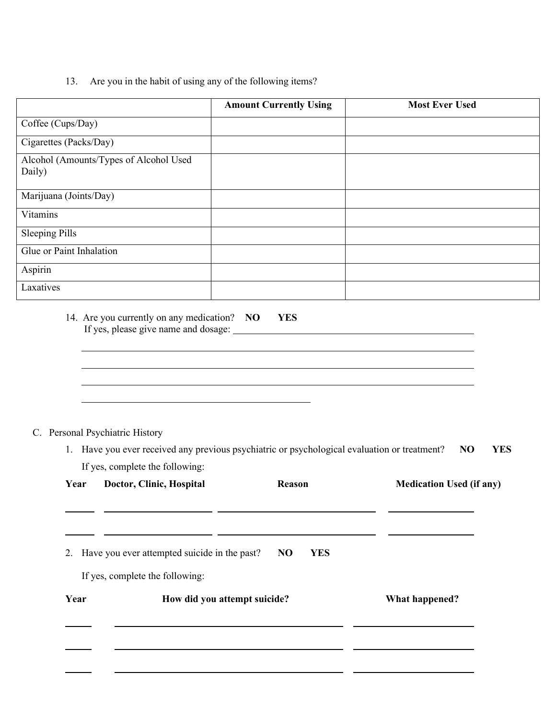13. Are you in the habit of using any of the following items?

|                                                                                                            | <b>Amount Currently Using</b>                                                                                                                                                                                                                                                                                                                                                                                    | <b>Most Ever Used</b>           |
|------------------------------------------------------------------------------------------------------------|------------------------------------------------------------------------------------------------------------------------------------------------------------------------------------------------------------------------------------------------------------------------------------------------------------------------------------------------------------------------------------------------------------------|---------------------------------|
| Coffee (Cups/Day)                                                                                          |                                                                                                                                                                                                                                                                                                                                                                                                                  |                                 |
| Cigarettes (Packs/Day)                                                                                     |                                                                                                                                                                                                                                                                                                                                                                                                                  |                                 |
| Alcohol (Amounts/Types of Alcohol Used<br>Daily)                                                           |                                                                                                                                                                                                                                                                                                                                                                                                                  |                                 |
| Marijuana (Joints/Day)                                                                                     |                                                                                                                                                                                                                                                                                                                                                                                                                  |                                 |
| Vitamins                                                                                                   |                                                                                                                                                                                                                                                                                                                                                                                                                  |                                 |
| <b>Sleeping Pills</b>                                                                                      |                                                                                                                                                                                                                                                                                                                                                                                                                  |                                 |
| Glue or Paint Inhalation                                                                                   |                                                                                                                                                                                                                                                                                                                                                                                                                  |                                 |
| Aspirin                                                                                                    |                                                                                                                                                                                                                                                                                                                                                                                                                  |                                 |
| Laxatives                                                                                                  |                                                                                                                                                                                                                                                                                                                                                                                                                  |                                 |
| If yes, please give name and dosage:<br>C. Personal Psychiatric History<br>If yes, complete the following: | 1. Have you ever received any previous psychiatric or psychological evaluation or treatment?                                                                                                                                                                                                                                                                                                                     | <b>YES</b><br>N <sub>O</sub>    |
| Doctor, Clinic, Hospital<br>Year                                                                           | Reason                                                                                                                                                                                                                                                                                                                                                                                                           | <b>Medication Used (if any)</b> |
| 2. Have you ever attempted suicide in the past?<br>If yes, complete the following:<br>Year                 | N <sub>O</sub><br><b>YES</b><br>How did you attempt suicide?<br>the control of the control of the control of the control of the control of the control of the control of the control of the control of the control of the control of the control of the control of the control of the control<br>the contract of the contract of the contract of the contract of the contract of the contract of the contract of | <b>What happened?</b>           |
|                                                                                                            |                                                                                                                                                                                                                                                                                                                                                                                                                  |                                 |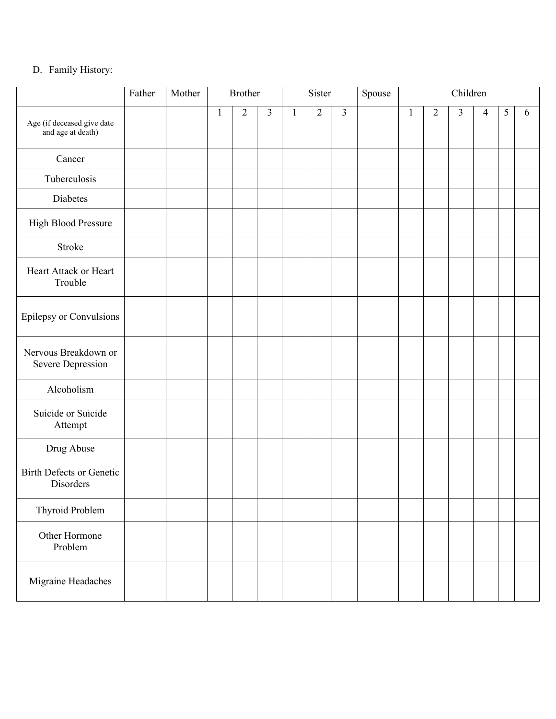### D. Family History:

|                                                 | Father | Mother |              | <b>Brother</b> |                |              | Sister         |                | Spouse |              |                | Children       |                |   |   |
|-------------------------------------------------|--------|--------|--------------|----------------|----------------|--------------|----------------|----------------|--------|--------------|----------------|----------------|----------------|---|---|
| Age (if deceased give date<br>and age at death) |        |        | $\mathbf{1}$ | $\overline{2}$ | $\overline{3}$ | $\mathbf{1}$ | $\overline{2}$ | $\overline{3}$ |        | $\mathbf{1}$ | $\overline{2}$ | $\overline{3}$ | $\overline{4}$ | 5 | 6 |
| Cancer                                          |        |        |              |                |                |              |                |                |        |              |                |                |                |   |   |
| Tuberculosis                                    |        |        |              |                |                |              |                |                |        |              |                |                |                |   |   |
| Diabetes                                        |        |        |              |                |                |              |                |                |        |              |                |                |                |   |   |
| High Blood Pressure                             |        |        |              |                |                |              |                |                |        |              |                |                |                |   |   |
| Stroke                                          |        |        |              |                |                |              |                |                |        |              |                |                |                |   |   |
| Heart Attack or Heart<br>Trouble                |        |        |              |                |                |              |                |                |        |              |                |                |                |   |   |
| Epilepsy or Convulsions                         |        |        |              |                |                |              |                |                |        |              |                |                |                |   |   |
| Nervous Breakdown or<br>Severe Depression       |        |        |              |                |                |              |                |                |        |              |                |                |                |   |   |
| Alcoholism                                      |        |        |              |                |                |              |                |                |        |              |                |                |                |   |   |
| Suicide or Suicide<br>Attempt                   |        |        |              |                |                |              |                |                |        |              |                |                |                |   |   |
| Drug Abuse                                      |        |        |              |                |                |              |                |                |        |              |                |                |                |   |   |
| <b>Birth Defects or Genetic</b><br>Disorders    |        |        |              |                |                |              |                |                |        |              |                |                |                |   |   |
| Thyroid Problem                                 |        |        |              |                |                |              |                |                |        |              |                |                |                |   |   |
| Other Hormone<br>Problem                        |        |        |              |                |                |              |                |                |        |              |                |                |                |   |   |
| Migraine Headaches                              |        |        |              |                |                |              |                |                |        |              |                |                |                |   |   |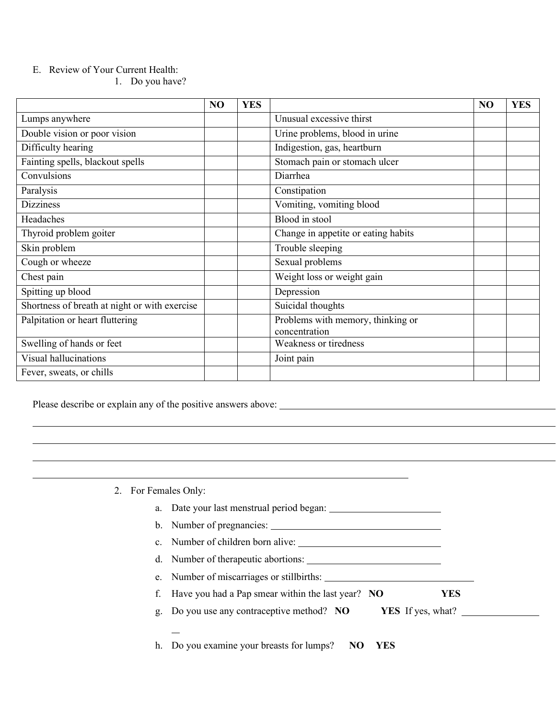#### E. Review of Your Current Health:

1. Do you have?

|                                               | NO | <b>YES</b> |                                                    | N <sub>O</sub> | <b>YES</b> |
|-----------------------------------------------|----|------------|----------------------------------------------------|----------------|------------|
| Lumps anywhere                                |    |            | Unusual excessive thirst                           |                |            |
| Double vision or poor vision                  |    |            | Urine problems, blood in urine                     |                |            |
| Difficulty hearing                            |    |            | Indigestion, gas, heartburn                        |                |            |
| Fainting spells, blackout spells              |    |            | Stomach pain or stomach ulcer                      |                |            |
| Convulsions                                   |    |            | Diarrhea                                           |                |            |
| Paralysis                                     |    |            | Constipation                                       |                |            |
| <b>Dizziness</b>                              |    |            | Vomiting, vomiting blood                           |                |            |
| Headaches                                     |    |            | Blood in stool                                     |                |            |
| Thyroid problem goiter                        |    |            | Change in appetite or eating habits                |                |            |
| Skin problem                                  |    |            | Trouble sleeping                                   |                |            |
| Cough or wheeze                               |    |            | Sexual problems                                    |                |            |
| Chest pain                                    |    |            | Weight loss or weight gain                         |                |            |
| Spitting up blood                             |    |            | Depression                                         |                |            |
| Shortness of breath at night or with exercise |    |            | Suicidal thoughts                                  |                |            |
| Palpitation or heart fluttering               |    |            | Problems with memory, thinking or<br>concentration |                |            |
| Swelling of hands or feet                     |    |            | Weakness or tiredness                              |                |            |
| Visual hallucinations                         |    |            | Joint pain                                         |                |            |
| Fever, sweats, or chills                      |    |            |                                                    |                |            |

Please describe or explain any of the positive answers above:

2. For Females Only:

- a. Date your last menstrual period began:
- b. Number of pregnancies:
- c. Number of children born alive:
- d. Number of therapeutic abortions:
- e. Number of miscarriages or stillbirths:
- f. Have you had a Pap smear within the last year? **NO YES**
- g. Do you use any contraceptive method? **NO YES** If yes, what?
	-

h. Do you examine your breasts for lumps? **NO YES**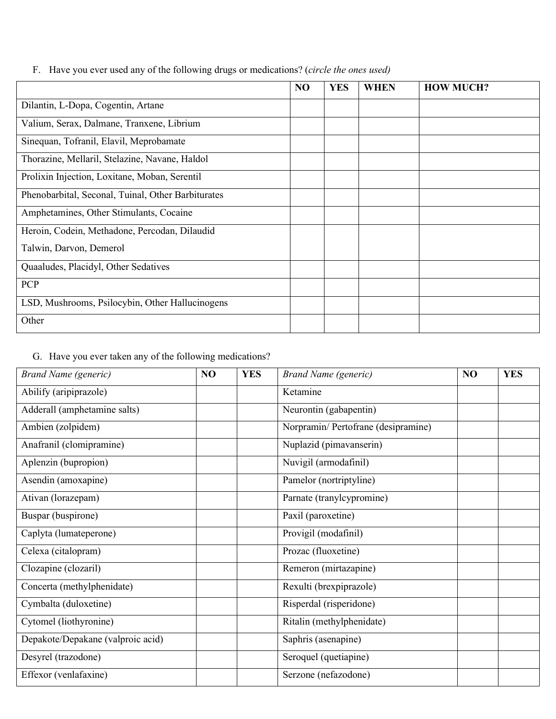|  | F. Have you ever used any of the following drugs or medications? (circle the ones used) |  |
|--|-----------------------------------------------------------------------------------------|--|
|  |                                                                                         |  |
|  |                                                                                         |  |

|                                                    | N <sub>O</sub> | <b>YES</b> | <b>WHEN</b> | <b>HOW MUCH?</b> |
|----------------------------------------------------|----------------|------------|-------------|------------------|
| Dilantin, L-Dopa, Cogentin, Artane                 |                |            |             |                  |
| Valium, Serax, Dalmane, Tranxene, Librium          |                |            |             |                  |
| Sinequan, Tofranil, Elavil, Meprobamate            |                |            |             |                  |
| Thorazine, Mellaril, Stelazine, Navane, Haldol     |                |            |             |                  |
| Prolixin Injection, Loxitane, Moban, Serentil      |                |            |             |                  |
| Phenobarbital, Seconal, Tuinal, Other Barbiturates |                |            |             |                  |
| Amphetamines, Other Stimulants, Cocaine            |                |            |             |                  |
| Heroin, Codein, Methadone, Percodan, Dilaudid      |                |            |             |                  |
| Talwin, Darvon, Demerol                            |                |            |             |                  |
| Quaaludes, Placidyl, Other Sedatives               |                |            |             |                  |
| <b>PCP</b>                                         |                |            |             |                  |
| LSD, Mushrooms, Psilocybin, Other Hallucinogens    |                |            |             |                  |
| Other                                              |                |            |             |                  |

# G. Have you ever taken any of the following medications?

| <b>Brand Name (generic)</b>       | NO | <b>YES</b> | <b>Brand Name</b> (generic)         | NO | <b>YES</b> |
|-----------------------------------|----|------------|-------------------------------------|----|------------|
| Abilify (aripiprazole)            |    |            | Ketamine                            |    |            |
| Adderall (amphetamine salts)      |    |            | Neurontin (gabapentin)              |    |            |
| Ambien (zolpidem)                 |    |            | Norpramin/ Pertofrane (desipramine) |    |            |
| Anafranil (clomipramine)          |    |            | Nuplazid (pimavanserin)             |    |            |
| Aplenzin (bupropion)              |    |            | Nuvigil (armodafinil)               |    |            |
| Asendin (amoxapine)               |    |            | Pamelor (nortriptyline)             |    |            |
| Ativan (lorazepam)                |    |            | Parnate (tranylcypromine)           |    |            |
| Buspar (buspirone)                |    |            | Paxil (paroxetine)                  |    |            |
| Caplyta (lumateperone)            |    |            | Provigil (modafinil)                |    |            |
| Celexa (citalopram)               |    |            | Prozac (fluoxetine)                 |    |            |
| Clozapine (clozaril)              |    |            | Remeron (mirtazapine)               |    |            |
| Concerta (methylphenidate)        |    |            | Rexulti (brexpiprazole)             |    |            |
| Cymbalta (duloxetine)             |    |            | Risperdal (risperidone)             |    |            |
| Cytomel (liothyronine)            |    |            | Ritalin (methylphenidate)           |    |            |
| Depakote/Depakane (valproic acid) |    |            | Saphris (asenapine)                 |    |            |
| Desyrel (trazodone)               |    |            | Seroquel (quetiapine)               |    |            |
| Effexor (venlafaxine)             |    |            | Serzone (nefazodone)                |    |            |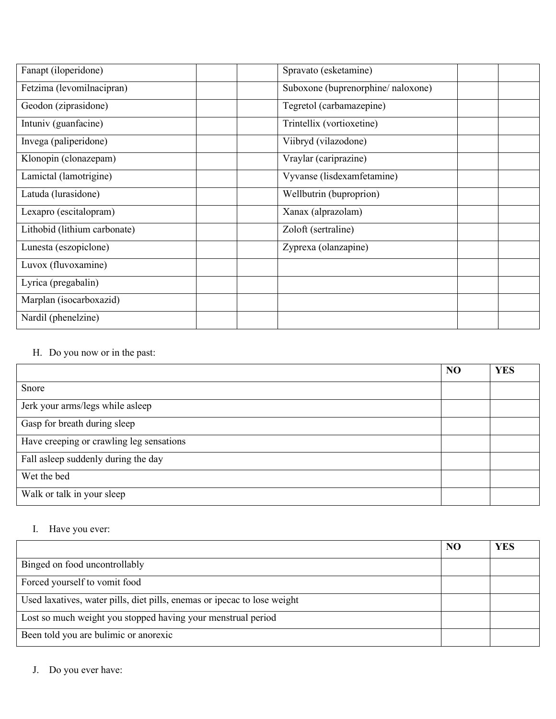| Fanapt (iloperidone)         | Spravato (esketamine)             |
|------------------------------|-----------------------------------|
| Fetzima (levomilnacipran)    | Suboxone (buprenorphine/naloxone) |
| Geodon (ziprasidone)         | Tegretol (carbamazepine)          |
| Intuniv (guanfacine)         | Trintellix (vortioxetine)         |
| Invega (paliperidone)        | Viibryd (vilazodone)              |
| Klonopin (clonazepam)        | Vraylar (cariprazine)             |
| Lamictal (lamotrigine)       | Vyvanse (lisdexamfetamine)        |
| Latuda (lurasidone)          | Wellbutrin (buproprion)           |
| Lexapro (escitalopram)       | Xanax (alprazolam)                |
| Lithobid (lithium carbonate) | Zoloft (sertraline)               |
| Lunesta (eszopiclone)        | Zyprexa (olanzapine)              |
| Luvox (fluvoxamine)          |                                   |
| Lyrica (pregabalin)          |                                   |
| Marplan (isocarboxazid)      |                                   |
| Nardil (phenelzine)          |                                   |

#### H. Do you now or in the past:

|                                          | N <sub>O</sub> | <b>YES</b> |
|------------------------------------------|----------------|------------|
| Snore                                    |                |            |
| Jerk your arms/legs while asleep         |                |            |
| Gasp for breath during sleep             |                |            |
| Have creeping or crawling leg sensations |                |            |
| Fall asleep suddenly during the day      |                |            |
| Wet the bed                              |                |            |
| Walk or talk in your sleep               |                |            |

#### I. Have you ever:

|                                                                          | N <sub>O</sub> | YES |
|--------------------------------------------------------------------------|----------------|-----|
| Binged on food uncontrollably                                            |                |     |
| Forced yourself to vomit food                                            |                |     |
| Used laxatives, water pills, diet pills, enemas or ipecac to lose weight |                |     |
| Lost so much weight you stopped having your menstrual period             |                |     |
| Been told you are bulimic or anorexic                                    |                |     |

J. Do you ever have: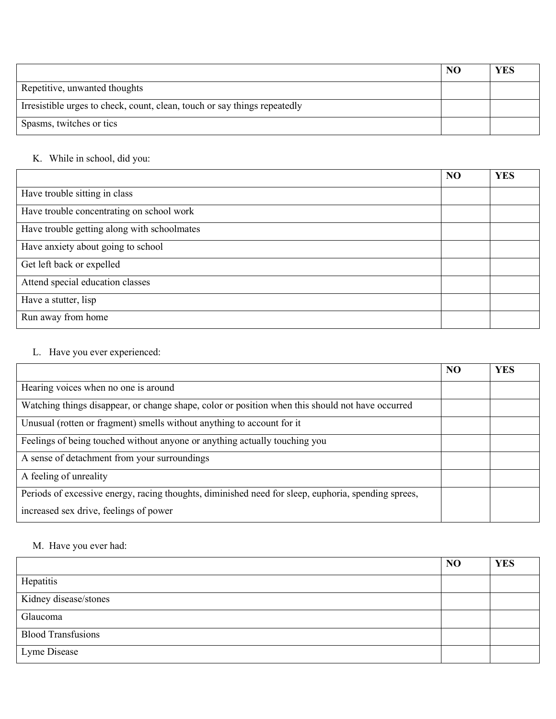|                                                                           | N <sub>O</sub> | <b>YES</b> |
|---------------------------------------------------------------------------|----------------|------------|
| Repetitive, unwanted thoughts                                             |                |            |
| Irresistible urges to check, count, clean, touch or say things repeatedly |                |            |
| Spasms, twitches or tics                                                  |                |            |

#### K. While in school, did you:

|                                             | N <sub>O</sub> | <b>YES</b> |
|---------------------------------------------|----------------|------------|
| Have trouble sitting in class               |                |            |
| Have trouble concentrating on school work   |                |            |
| Have trouble getting along with schoolmates |                |            |
| Have anxiety about going to school          |                |            |
| Get left back or expelled                   |                |            |
| Attend special education classes            |                |            |
| Have a stutter, lisp                        |                |            |
| Run away from home                          |                |            |

#### L. Have you ever experienced:

|                                                                                                     | N <sub>O</sub> | <b>YES</b> |
|-----------------------------------------------------------------------------------------------------|----------------|------------|
| Hearing voices when no one is around                                                                |                |            |
| Watching things disappear, or change shape, color or position when this should not have occurred    |                |            |
| Unusual (rotten or fragment) smells without anything to account for it                              |                |            |
| Feelings of being touched without anyone or anything actually touching you                          |                |            |
| A sense of detachment from your surroundings                                                        |                |            |
| A feeling of unreality                                                                              |                |            |
| Periods of excessive energy, racing thoughts, diminished need for sleep, euphoria, spending sprees, |                |            |
| increased sex drive, feelings of power                                                              |                |            |

### M. Have you ever had:

|                           | N <sub>O</sub> | <b>YES</b> |
|---------------------------|----------------|------------|
| Hepatitis                 |                |            |
| Kidney disease/stones     |                |            |
| Glaucoma                  |                |            |
| <b>Blood Transfusions</b> |                |            |
| Lyme Disease              |                |            |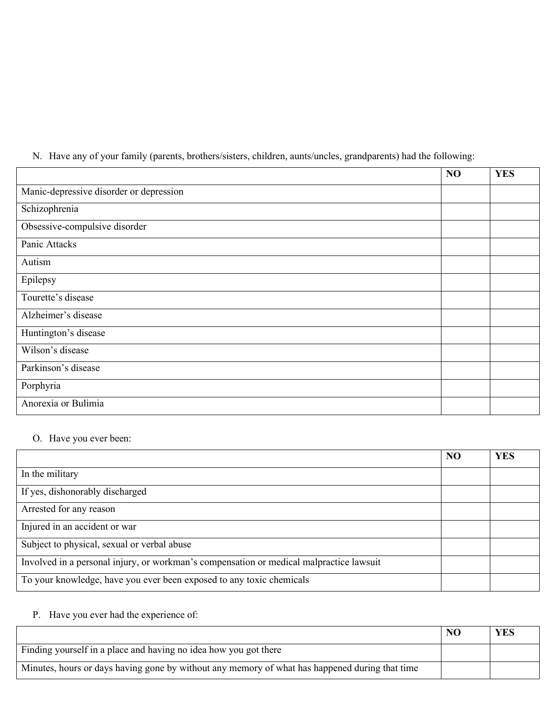|  |  | N. Have any of your family (parents, brothers/sisters, children, aunts/uncles, grandparents) had the following: |  |  |  |  |
|--|--|-----------------------------------------------------------------------------------------------------------------|--|--|--|--|
|  |  |                                                                                                                 |  |  |  |  |
|  |  |                                                                                                                 |  |  |  |  |

|                                         | NO | <b>YES</b> |
|-----------------------------------------|----|------------|
| Manic-depressive disorder or depression |    |            |
| Schizophrenia                           |    |            |
| Obsessive-compulsive disorder           |    |            |
| Panic Attacks                           |    |            |
| Autism                                  |    |            |
| Epilepsy                                |    |            |
| Tourette's disease                      |    |            |
| Alzheimer's disease                     |    |            |
| Huntington's disease                    |    |            |
| Wilson's disease                        |    |            |
| Parkinson's disease                     |    |            |
| Porphyria                               |    |            |
| Anorexia or Bulimia                     |    |            |

### O. Have you ever been:

|                                                                                         | N <sub>O</sub> | <b>YES</b> |
|-----------------------------------------------------------------------------------------|----------------|------------|
| In the military                                                                         |                |            |
| If yes, dishonorably discharged                                                         |                |            |
| Arrested for any reason                                                                 |                |            |
| Injured in an accident or war                                                           |                |            |
| Subject to physical, sexual or verbal abuse                                             |                |            |
| Involved in a personal injury, or workman's compensation or medical malpractice lawsuit |                |            |
| To your knowledge, have you ever been exposed to any toxic chemicals                    |                |            |

#### P. Have you ever had the experience of:

|                                                                                                | N <sub>O</sub> | <b>YES</b> |
|------------------------------------------------------------------------------------------------|----------------|------------|
| Finding yourself in a place and having no idea how you got there                               |                |            |
| Minutes, hours or days having gone by without any memory of what has happened during that time |                |            |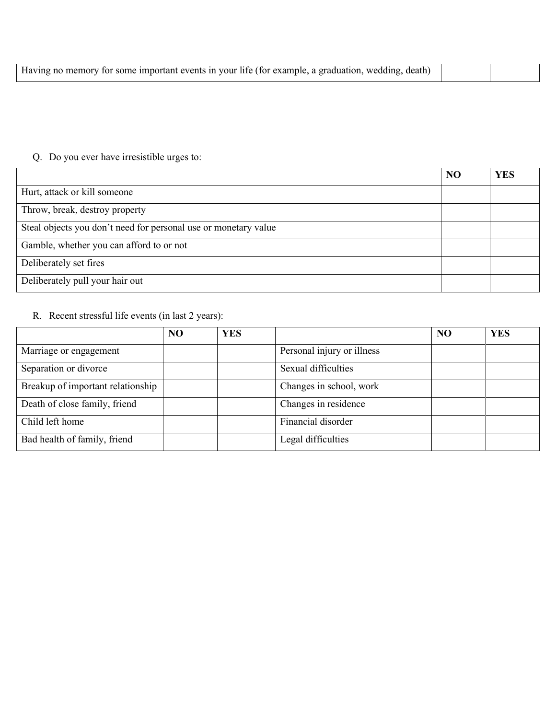| Having no memory for some important events in your life (for example, a graduation, wedding, |  |  |
|----------------------------------------------------------------------------------------------|--|--|
|----------------------------------------------------------------------------------------------|--|--|

# Q. Do you ever have irresistible urges to:

|                                                                 | N <sub>O</sub> | <b>YES</b> |
|-----------------------------------------------------------------|----------------|------------|
| Hurt, attack or kill someone                                    |                |            |
| Throw, break, destroy property                                  |                |            |
| Steal objects you don't need for personal use or monetary value |                |            |
| Gamble, whether you can afford to or not                        |                |            |
| Deliberately set fires                                          |                |            |
| Deliberately pull your hair out                                 |                |            |

### R. Recent stressful life events (in last 2 years):

|                                   | N <sub>O</sub> | <b>YES</b> |                            | NO | <b>YES</b> |
|-----------------------------------|----------------|------------|----------------------------|----|------------|
| Marriage or engagement            |                |            | Personal injury or illness |    |            |
| Separation or divorce             |                |            | Sexual difficulties        |    |            |
| Breakup of important relationship |                |            | Changes in school, work    |    |            |
| Death of close family, friend     |                |            | Changes in residence       |    |            |
| Child left home                   |                |            | Financial disorder         |    |            |
| Bad health of family, friend      |                |            | Legal difficulties         |    |            |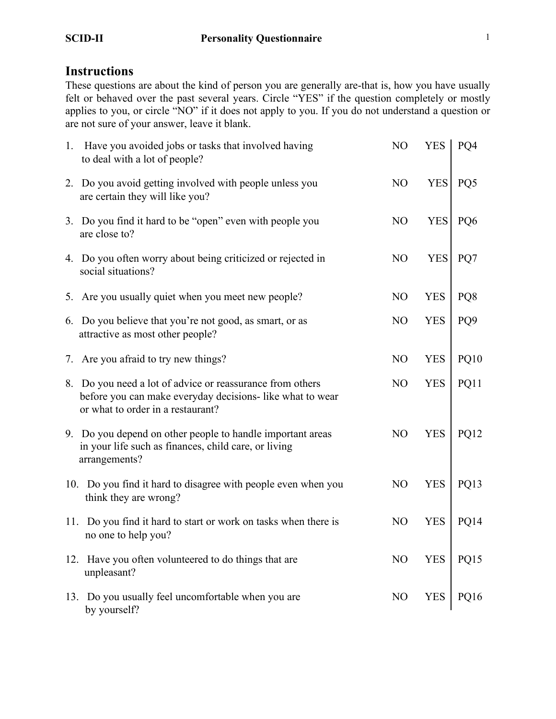# **Instructions**

These questions are about the kind of person you are generally are-that is, how you have usually felt or behaved over the past several years. Circle "YES" if the question completely or mostly applies to you, or circle "NO" if it does not apply to you. If you do not understand a question or are not sure of your answer, leave it blank.

| 1. Have you avoided jobs or tasks that involved having<br>to deal with a lot of people?                                                                     | N <sub>O</sub> | <b>YES</b> | PO <sub>4</sub> |
|-------------------------------------------------------------------------------------------------------------------------------------------------------------|----------------|------------|-----------------|
| 2. Do you avoid getting involved with people unless you<br>are certain they will like you?                                                                  | N <sub>O</sub> | <b>YES</b> | PQ5             |
| 3. Do you find it hard to be "open" even with people you<br>are close to?                                                                                   | N <sub>O</sub> | <b>YES</b> | PQ6             |
| 4. Do you often worry about being criticized or rejected in<br>social situations?                                                                           | N <sub>O</sub> | <b>YES</b> | PQ7             |
| 5. Are you usually quiet when you meet new people?                                                                                                          | N <sub>O</sub> | <b>YES</b> | PQ8             |
| 6. Do you believe that you're not good, as smart, or as<br>attractive as most other people?                                                                 | N <sub>O</sub> | <b>YES</b> | PQ <sub>9</sub> |
| 7. Are you afraid to try new things?                                                                                                                        | N <sub>O</sub> | <b>YES</b> | <b>PQ10</b>     |
| 8. Do you need a lot of advice or reassurance from others<br>before you can make everyday decisions- like what to wear<br>or what to order in a restaurant? | N <sub>O</sub> | <b>YES</b> | PQ11            |
| 9. Do you depend on other people to handle important areas<br>in your life such as finances, child care, or living<br>arrangements?                         | N <sub>O</sub> | <b>YES</b> | PQ12            |
| 10. Do you find it hard to disagree with people even when you<br>think they are wrong?                                                                      | N <sub>O</sub> | <b>YES</b> | PQ13            |
| 11. Do you find it hard to start or work on tasks when there is<br>no one to help you?                                                                      | N <sub>O</sub> | <b>YES</b> | PQ14            |
| 12. Have you often volunteered to do things that are<br>unpleasant?                                                                                         | N <sub>O</sub> | <b>YES</b> | PQ15            |
| 13. Do you usually feel uncomfortable when you are<br>by yourself?                                                                                          | N <sub>O</sub> | <b>YES</b> | <b>PQ16</b>     |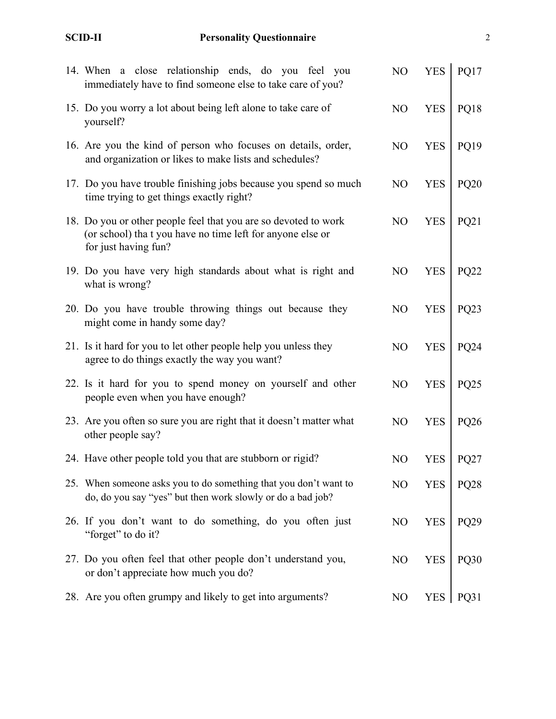| 14. When a close relationship ends, do you feel you<br>immediately have to find someone else to take care of you?                                     | NO             | <b>YES</b> | PQ17        |
|-------------------------------------------------------------------------------------------------------------------------------------------------------|----------------|------------|-------------|
| 15. Do you worry a lot about being left alone to take care of<br>yourself?                                                                            | NO             | <b>YES</b> | PQ18        |
| 16. Are you the kind of person who focuses on details, order,<br>and organization or likes to make lists and schedules?                               | N <sub>O</sub> | <b>YES</b> | PQ19        |
| 17. Do you have trouble finishing jobs because you spend so much<br>time trying to get things exactly right?                                          | N <sub>O</sub> | <b>YES</b> | <b>PQ20</b> |
| 18. Do you or other people feel that you are so devoted to work<br>(or school) tha t you have no time left for anyone else or<br>for just having fun? | N <sub>O</sub> | <b>YES</b> | PQ21        |
| 19. Do you have very high standards about what is right and<br>what is wrong?                                                                         | N <sub>O</sub> | <b>YES</b> | <b>PQ22</b> |
| 20. Do you have trouble throwing things out because they<br>might come in handy some day?                                                             | NO             | <b>YES</b> | <b>PQ23</b> |
| 21. Is it hard for you to let other people help you unless they<br>agree to do things exactly the way you want?                                       | N <sub>O</sub> | <b>YES</b> | PQ24        |
| 22. Is it hard for you to spend money on yourself and other<br>people even when you have enough?                                                      | N <sub>O</sub> | <b>YES</b> | PQ25        |
| 23. Are you often so sure you are right that it doesn't matter what<br>other people say?                                                              | N <sub>O</sub> | <b>YES</b> | PQ26        |
| 24. Have other people told you that are stubborn or rigid?                                                                                            | NO             | <b>YES</b> | PQ27        |
| 25. When someone asks you to do something that you don't want to<br>do, do you say "yes" but then work slowly or do a bad job?                        | NO             | <b>YES</b> | <b>PQ28</b> |
| 26. If you don't want to do something, do you often just<br>"forget" to do it?                                                                        | N <sub>O</sub> | <b>YES</b> | PQ29        |
| 27. Do you often feel that other people don't understand you,<br>or don't appreciate how much you do?                                                 | N <sub>O</sub> | <b>YES</b> | PQ30        |
| 28. Are you often grumpy and likely to get into arguments?                                                                                            | N <sub>O</sub> | <b>YES</b> | PQ31        |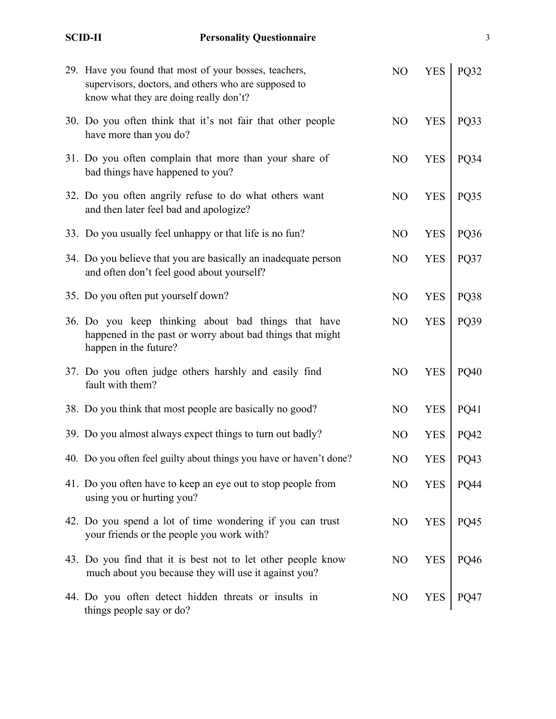# **SCID-II Personality Questionnaire**

| 29. Have you found that most of your bosses, teachers,<br>supervisors, doctors, and others who are supposed to<br>know what they are doing really don't? | N <sub>O</sub> | <b>YES</b> | PQ32        |
|----------------------------------------------------------------------------------------------------------------------------------------------------------|----------------|------------|-------------|
| 30. Do you often think that it's not fair that other people<br>have more than you do?                                                                    | N <sub>O</sub> | <b>YES</b> | PQ33        |
| 31. Do you often complain that more than your share of<br>bad things have happened to you?                                                               | N <sub>O</sub> | <b>YES</b> | PQ34        |
| 32. Do you often angrily refuse to do what others want<br>and then later feel bad and apologize?                                                         | N <sub>O</sub> | <b>YES</b> | PQ35        |
| 33. Do you usually feel unhappy or that life is no fun?                                                                                                  | N <sub>O</sub> | <b>YES</b> | PQ36        |
| 34. Do you believe that you are basically an inadequate person<br>and often don't feel good about yourself?                                              | N <sub>O</sub> | <b>YES</b> | PQ37        |
| 35. Do you often put yourself down?                                                                                                                      | N <sub>O</sub> | <b>YES</b> | PQ38        |
| 36. Do you keep thinking about bad things that have<br>happened in the past or worry about bad things that might<br>happen in the future?                | N <sub>O</sub> | <b>YES</b> | PQ39        |
| 37. Do you often judge others harshly and easily find<br>fault with them?                                                                                | N <sub>O</sub> | <b>YES</b> | PQ40        |
| 38. Do you think that most people are basically no good?                                                                                                 | N <sub>O</sub> | <b>YES</b> | <b>PQ41</b> |
| 39. Do you almost always expect things to turn out badly?                                                                                                | N <sub>O</sub> | <b>YES</b> | <b>PQ42</b> |
| 40. Do you often feel guilty about things you have or haven't done?                                                                                      | N <sub>O</sub> | <b>YES</b> | PQ43        |
| 41. Do you often have to keep an eye out to stop people from<br>using you or hurting you?                                                                | N <sub>O</sub> | <b>YES</b> | PQ44        |
| 42. Do you spend a lot of time wondering if you can trust<br>your friends or the people you work with?                                                   | N <sub>O</sub> | <b>YES</b> | PQ45        |
| 43. Do you find that it is best not to let other people know<br>much about you because they will use it against you?                                     | N <sub>O</sub> | <b>YES</b> | <b>PQ46</b> |
| 44. Do you often detect hidden threats or insults in<br>things people say or do?                                                                         | N <sub>O</sub> | <b>YES</b> | PQ47        |

3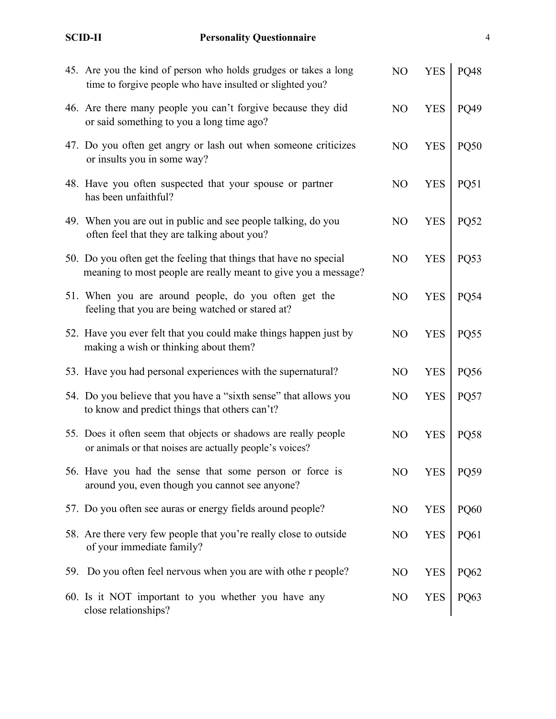| ٦ |  |
|---|--|
|   |  |

| 45. Are you the kind of person who holds grudges or takes a long<br>time to forgive people who have insulted or slighted you?       | NO             | <b>YES</b> | <b>PQ48</b> |
|-------------------------------------------------------------------------------------------------------------------------------------|----------------|------------|-------------|
| 46. Are there many people you can't forgive because they did<br>or said something to you a long time ago?                           | NO             | <b>YES</b> | PQ49        |
| 47. Do you often get angry or lash out when someone criticizes<br>or insults you in some way?                                       | N <sub>O</sub> | <b>YES</b> | <b>PQ50</b> |
| 48. Have you often suspected that your spouse or partner<br>has been unfaithful?                                                    | N <sub>O</sub> | <b>YES</b> | PQ51        |
| 49. When you are out in public and see people talking, do you<br>often feel that they are talking about you?                        | N <sub>O</sub> | <b>YES</b> | <b>PQ52</b> |
| 50. Do you often get the feeling that things that have no special<br>meaning to most people are really meant to give you a message? | N <sub>O</sub> | <b>YES</b> | PQ53        |
| 51. When you are around people, do you often get the<br>feeling that you are being watched or stared at?                            | N <sub>O</sub> | <b>YES</b> | PQ54        |
| 52. Have you ever felt that you could make things happen just by<br>making a wish or thinking about them?                           | N <sub>O</sub> | <b>YES</b> | PQ55        |
| 53. Have you had personal experiences with the supernatural?                                                                        | N <sub>O</sub> | <b>YES</b> | PQ56        |
| 54. Do you believe that you have a "sixth sense" that allows you<br>to know and predict things that others can't?                   | NO             | <b>YES</b> | PQ57        |
| 55. Does it often seem that objects or shadows are really people<br>or animals or that noises are actually people's voices?         | NO             | <b>YES</b> | <b>PQ58</b> |
| 56. Have you had the sense that some person or force is<br>around you, even though you cannot see anyone?                           | NO             | YES        | PQ59        |
| 57. Do you often see auras or energy fields around people?                                                                          | N <sub>O</sub> | <b>YES</b> | PQ60        |
| 58. Are there very few people that you're really close to outside<br>of your immediate family?                                      | N <sub>O</sub> | <b>YES</b> | PQ61        |
| 59. Do you often feel nervous when you are with othe r people?                                                                      | N <sub>O</sub> | <b>YES</b> | PQ62        |
| 60. Is it NOT important to you whether you have any<br>close relationships?                                                         | N <sub>O</sub> | <b>YES</b> | PQ63        |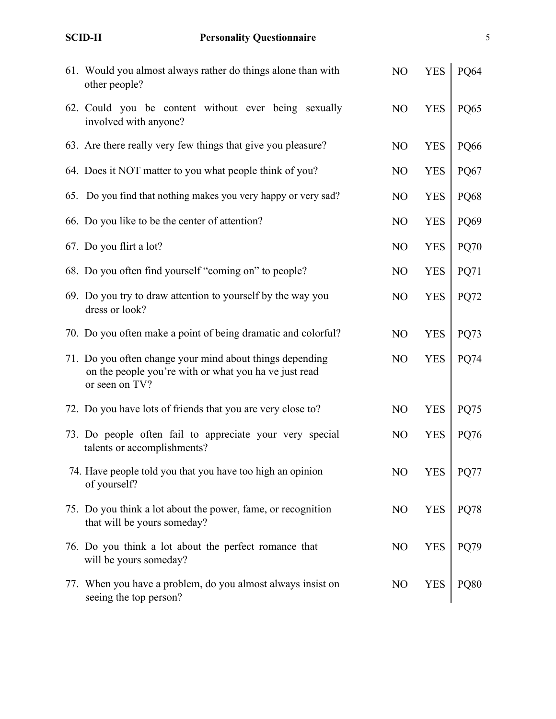| 61. Would you almost always rather do things alone than with<br>other people?                                                       | NO             | <b>YES</b> | PQ64        |
|-------------------------------------------------------------------------------------------------------------------------------------|----------------|------------|-------------|
| 62. Could you be content without ever being sexually<br>involved with anyone?                                                       | N <sub>O</sub> | <b>YES</b> | PQ65        |
| 63. Are there really very few things that give you pleasure?                                                                        | N <sub>O</sub> | <b>YES</b> | <b>PQ66</b> |
| 64. Does it NOT matter to you what people think of you?                                                                             | N <sub>O</sub> | <b>YES</b> | PQ67        |
| 65. Do you find that nothing makes you very happy or very sad?                                                                      | N <sub>O</sub> | <b>YES</b> | PQ68        |
| 66. Do you like to be the center of attention?                                                                                      | N <sub>O</sub> | <b>YES</b> | PQ69        |
| 67. Do you flirt a lot?                                                                                                             | N <sub>O</sub> | <b>YES</b> | <b>PQ70</b> |
| 68. Do you often find yourself "coming on" to people?                                                                               | N <sub>O</sub> | <b>YES</b> | PQ71        |
| 69. Do you try to draw attention to yourself by the way you<br>dress or look?                                                       | N <sub>O</sub> | <b>YES</b> | <b>PQ72</b> |
| 70. Do you often make a point of being dramatic and colorful?                                                                       | N <sub>O</sub> | <b>YES</b> | PQ73        |
| 71. Do you often change your mind about things depending<br>on the people you're with or what you ha ve just read<br>or seen on TV? | N <sub>O</sub> | <b>YES</b> | <b>PQ74</b> |
| 72. Do you have lots of friends that you are very close to?                                                                         | N <sub>O</sub> | <b>YES</b> | PQ75        |
| 73. Do people often fail to appreciate your very special<br>talents or accomplishments?                                             | N <sub>O</sub> | <b>YES</b> | <b>PQ76</b> |
| 74. Have people told you that you have too high an opinion<br>of yourself?                                                          | NO             | <b>YES</b> | <b>PQ77</b> |
| 75. Do you think a lot about the power, fame, or recognition<br>that will be yours someday?                                         | N <sub>O</sub> | <b>YES</b> | <b>PQ78</b> |
| 76. Do you think a lot about the perfect romance that<br>will be yours someday?                                                     | N <sub>O</sub> | <b>YES</b> | PQ79        |
| 77. When you have a problem, do you almost always insist on<br>seeing the top person?                                               | N <sub>O</sub> | <b>YES</b> | <b>PQ80</b> |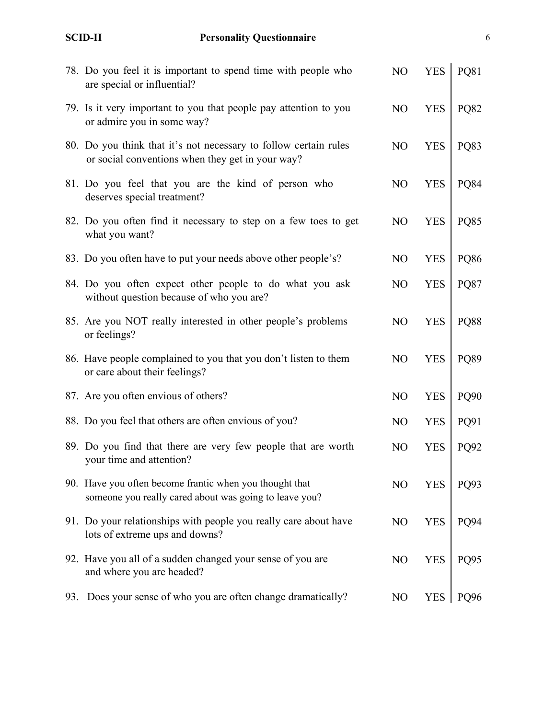6

|     | 78. Do you feel it is important to spend time with people who<br>are special or influential?                         | N <sub>O</sub> | <b>YES</b> | PQ81        |
|-----|----------------------------------------------------------------------------------------------------------------------|----------------|------------|-------------|
|     | 79. Is it very important to you that people pay attention to you<br>or admire you in some way?                       | N <sub>O</sub> | <b>YES</b> | <b>PQ82</b> |
|     | 80. Do you think that it's not necessary to follow certain rules<br>or social conventions when they get in your way? | N <sub>O</sub> | <b>YES</b> | PQ83        |
|     | 81. Do you feel that you are the kind of person who<br>deserves special treatment?                                   | N <sub>O</sub> | <b>YES</b> | <b>PQ84</b> |
|     | 82. Do you often find it necessary to step on a few toes to get<br>what you want?                                    | N <sub>O</sub> | <b>YES</b> | <b>PQ85</b> |
|     | 83. Do you often have to put your needs above other people's?                                                        | N <sub>O</sub> | <b>YES</b> | <b>PQ86</b> |
|     | 84. Do you often expect other people to do what you ask<br>without question because of who you are?                  | N <sub>O</sub> | <b>YES</b> | <b>PQ87</b> |
|     | 85. Are you NOT really interested in other people's problems<br>or feelings?                                         | N <sub>O</sub> | <b>YES</b> | <b>PQ88</b> |
|     | 86. Have people complained to you that you don't listen to them<br>or care about their feelings?                     | N <sub>O</sub> | <b>YES</b> | PQ89        |
|     | 87. Are you often envious of others?                                                                                 | N <sub>O</sub> | <b>YES</b> | PQ90        |
|     | 88. Do you feel that others are often envious of you?                                                                | N <sub>O</sub> | <b>YES</b> | PQ91        |
|     | 89. Do you find that there are very few people that are worth<br>your time and attention?                            | N <sub>O</sub> | <b>YES</b> | PQ92        |
|     | 90. Have you often become frantic when you thought that<br>someone you really cared about was going to leave you?    | N <sub>O</sub> | <b>YES</b> | PQ93        |
|     | 91. Do your relationships with people you really care about have<br>lots of extreme ups and downs?                   | N <sub>O</sub> | <b>YES</b> | PQ94        |
|     | 92. Have you all of a sudden changed your sense of you are<br>and where you are headed?                              | N <sub>O</sub> | <b>YES</b> | PQ95        |
| 93. | Does your sense of who you are often change dramatically?                                                            | N <sub>O</sub> | <b>YES</b> | PQ96        |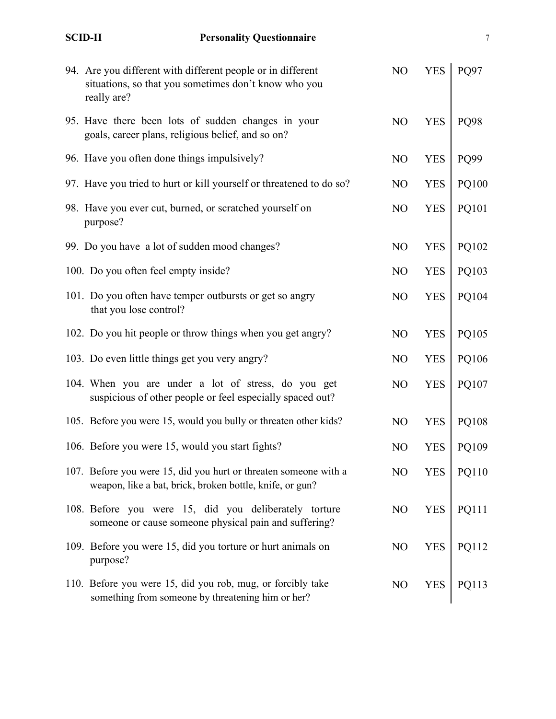| 94. Are you different with different people or in different<br>situations, so that you sometimes don't know who you<br>really are? | NO             | <b>YES</b> | PQ97  |
|------------------------------------------------------------------------------------------------------------------------------------|----------------|------------|-------|
| 95. Have there been lots of sudden changes in your<br>goals, career plans, religious belief, and so on?                            | NO             | <b>YES</b> | PQ98  |
| 96. Have you often done things impulsively?                                                                                        | N <sub>O</sub> | <b>YES</b> | PQ99  |
| 97. Have you tried to hurt or kill yourself or threatened to do so?                                                                | N <sub>O</sub> | <b>YES</b> | PQ100 |
| 98. Have you ever cut, burned, or scratched yourself on<br>purpose?                                                                | NO             | <b>YES</b> | PQ101 |
| 99. Do you have a lot of sudden mood changes?                                                                                      | N <sub>O</sub> | <b>YES</b> | PQ102 |
| 100. Do you often feel empty inside?                                                                                               | N <sub>O</sub> | <b>YES</b> | PQ103 |
| 101. Do you often have temper outbursts or get so angry<br>that you lose control?                                                  | N <sub>O</sub> | <b>YES</b> | PQ104 |
| 102. Do you hit people or throw things when you get angry?                                                                         | N <sub>O</sub> | <b>YES</b> | PQ105 |
| 103. Do even little things get you very angry?                                                                                     | N <sub>O</sub> | <b>YES</b> | PQ106 |
| 104. When you are under a lot of stress, do you get<br>suspicious of other people or feel especially spaced out?                   | N <sub>O</sub> | <b>YES</b> | PQ107 |
| 105. Before you were 15, would you bully or threaten other kids?                                                                   | N <sub>O</sub> | <b>YES</b> | PQ108 |
| 106. Before you were 15, would you start fights?                                                                                   | N <sub>O</sub> | <b>YES</b> | PQ109 |
| 107. Before you were 15, did you hurt or threaten someone with a<br>weapon, like a bat, brick, broken bottle, knife, or gun?       | N <sub>O</sub> | <b>YES</b> | PQ110 |
| 108. Before you were 15, did you deliberately torture<br>someone or cause someone physical pain and suffering?                     | N <sub>O</sub> | <b>YES</b> | PQ111 |
| 109. Before you were 15, did you torture or hurt animals on<br>purpose?                                                            | N <sub>O</sub> | <b>YES</b> | PQ112 |
| 110. Before you were 15, did you rob, mug, or forcibly take<br>something from someone by threatening him or her?                   | N <sub>O</sub> | <b>YES</b> | PQ113 |